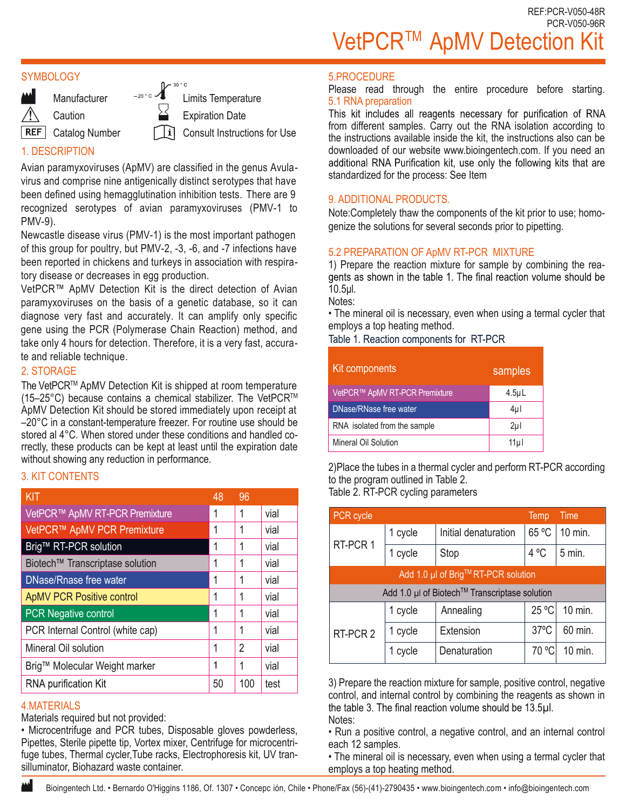### **SYMBOLOGY**



**Caution** 

REF Catalog Number

Limits Temperature Expiration Date

Consult Instructions for Use

# 1. DESCRIPTION

Avian paramyxoviruses (ApMV) are classified in the genus Avulavirus and comprise nine antigenically distinct serotypes that have been defined using hemagglutination inhibition tests. There are 9 recognized serotypes of avian paramyxoviruses (PMV-1 to PMV-9).

Newcastle disease virus (PMV-1) is the most important pathogen of this group for poultry, but PMV-2, -3, -6, and -7 infections have been reported in chickens and turkeys in association with respiratory disease or decreases in egg production.

VetPCR™ ApMV Detection Kit is the direct detection of Avian paramyxoviruses on the basis of a genetic database, so it can diagnose very fast and accurately. It can amplify only specific gene using the PCR (Polymerase Chain Reaction) method, and take only 4 hours for detection. Therefore, it is a very fast, accurate and reliable technique.

## 2. STORAGE

The VetPCR™ ApMV Detection Kit is shipped at room temperature (15–25°C) because contains a chemical stabilizer. The VetPCRTM ApMV Detection Kit should be stored immediately upon receipt at –20°C in a constant-temperature freezer. For routine use should be stored al 4°C. When stored under these conditions and handled correctly, these products can be kept at least until the expiration date without showing any reduction in performance.

### 3. KIT CONTENTS

| <b>KIT</b>                       | 48 | 96  |      |
|----------------------------------|----|-----|------|
| VetPCR™ ApMV RT-PCR Premixture   |    | 1   | vial |
| VetPCR™ ApMV PCR Premixture      |    | 1   | vial |
| Brig™ RT-PCR solution            |    | 1   | vial |
| Biotech™ Transcriptase solution  |    | 1   | vial |
| DNase/Rnase free water           |    | 1   | vial |
| <b>ApMV PCR Positive control</b> |    | 1   | vial |
| <b>PCR Negative control</b>      |    | 1   | vial |
| PCR Internal Control (white cap) |    | 1   | vial |
| Mineral Oil solution             |    | 2   | vial |
| Brig™ Molecular Weight marker    |    | 1   | vial |
| <b>RNA</b> purification Kit      |    | 100 | test |

### 4.MATERIALS

Materials required but not provided:

• Microcentrifuge and PCR tubes, Disposable gloves powderless, Pipettes, Sterile pipette tip, Vortex mixer, Centrifuge for microcentrifuge tubes, Thermal cycler,Tube racks, Electrophoresis kit, UV transilluminator, Biohazard waste container.

#### 5.PROCEDURE

Please read through the entire procedure before starting. 5.1 RNA preparation<br>This kit includes all reagents necessary for purification of RNA

from different samples. Carry out the RNA isolation according to the instructions available inside the kit, the instructions also can be downloaded of our website www.bioingentech.com. If you need an additional RNA Purification kit, use only the following kits that are standardized for the process: See Item

## 9. ADDITIONAL PRODUCTS.

Note:Completely thaw the components of the kit prior to use; homogenize the solutions for several seconds prior to pipetting.

## 5.2 PREPARATION OF ApMV RT-PCR MIXTURE

1) Prepare the reaction mixture for sample by combining the rea-<br>gents as shown in the table 1. The final reaction volume should be 10.5μl.

Notes:

• The mineral oil is necessary, even when using a termal cycler that employs a top heating method.

Table 1. Reaction components for RT-PCR

| Kit components                 | samples          |
|--------------------------------|------------------|
| VetPCR™ ApMV RT-PCR Premixture | 4.5 <sub>µ</sub> |
| DNase/RNase free water         | 4µl              |
| RNA isolated from the sample   | $2\mu$           |
| Mineral Oil Solution           | 11µl             |

2)Place the tubes in a thermal cycler and perform RT-PCR according to the program outlined in Table 2. Table 2. RT-PCR cycling parameters

| PCR cycle                                     |         |                      | Temp           | Time             |  |
|-----------------------------------------------|---------|----------------------|----------------|------------------|--|
| RT-PCR 1                                      | 1 cycle | Initial denaturation | 65 °C          | 10 min.          |  |
|                                               | 1 cycle | Stop                 | $4^{\circ}$ C  | 5 min.           |  |
| Add 1.0 µl of Brig™RT-PCR solution            |         |                      |                |                  |  |
| Add 1.0 µl of Biotech™ Transcriptase solution |         |                      |                |                  |  |
| RT-PCR 2                                      | 1 cycle | Annealing            | 25 °C          | 10 min.          |  |
|                                               | 1 cycle | Extension            | $37^{\circ}$ C | 60 min.          |  |
|                                               | cycle   | Denaturation         | 70 °C          | $10 \text{ min}$ |  |

3) Prepare the reaction mixture for sample, positive control, negative control, and internal control by combining the reagents as shown in the table 3. The final reaction volume should be 13.5µl. Notes:

• Run a positive control, a negative control, and an internal control each 12 samples.

• The mineral oil is necessary, even when using a termal cycler that employs a top heating method.